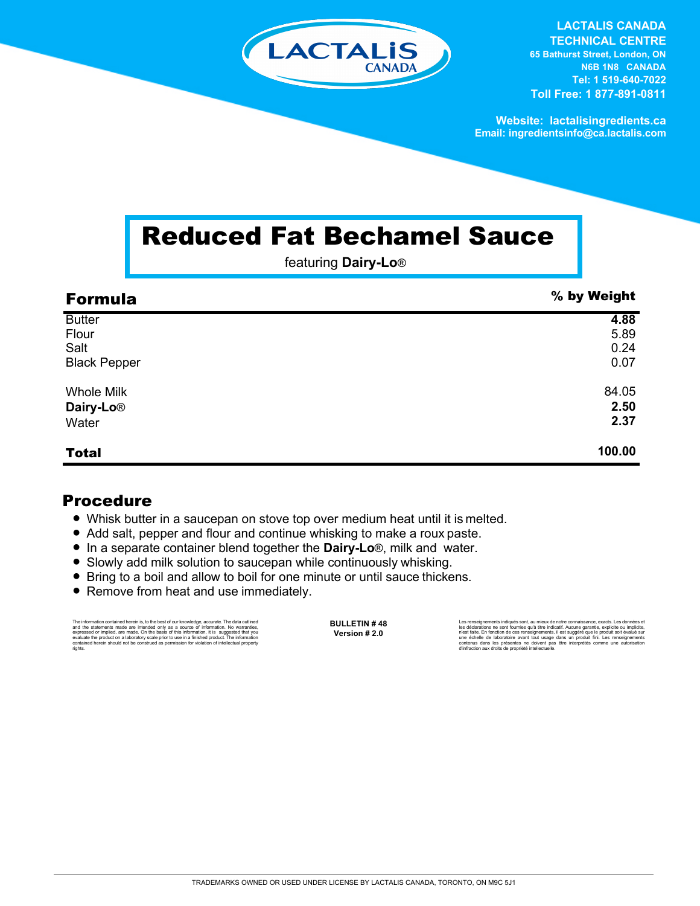

**LACTALIS CANADA TECHNICAL CENTRE 65 Bathurst Street, London, ON N6B 1N8 CANADA Tel: 1 519-640-7022 Toll Free: 1 877-891-0811**

**Website: lactalisingredients.ca Email: ingredientsinfo@ca.lactalis.com**

## Reduced Fat Bechamel Sauce

featuring **Dairy-Lo**®

| <b>Formula</b>        | % by Weight |
|-----------------------|-------------|
| <b>Butter</b>         | 4.88        |
| Flour                 | 5.89        |
| Salt                  | 0.24        |
| <b>Black Pepper</b>   | 0.07        |
| <b>Whole Milk</b>     | 84.05       |
| Dairy-Lo <sup>®</sup> | 2.50        |
| Water                 | 2.37        |
| <b>Total</b>          | 100.00      |

## Procedure

- = Whisk butter in a saucepan on stove top over medium heat until it is melted.
- Add salt, pepper and flour and continue whisking to make a roux paste.
- In a separate container blend together the **Dairy-Lo**®, milk and water.
- Slowly add milk solution to saucepan while continuously whisking.
- Bring to a boil and allow to boil for one minute or until sauce thickens.
- Remove from heat and use immediately.

The information contained herein is, to the best of our knowledge, accurate. The data outlined and the statements made are intended only as a source of information. No warranties, expressed or implied, are made. On the bas rights.

**BULLETIN # 48 Version # 2.0**

Les renseignements indiqués sont, au mieux de notre connaissance, exacts. Les données et<br>les déclarations ne sont fournies qu'à titre indicatif. Aucune garantie, explicite ou implicite,<br>riest faite. En fonction de ces rens